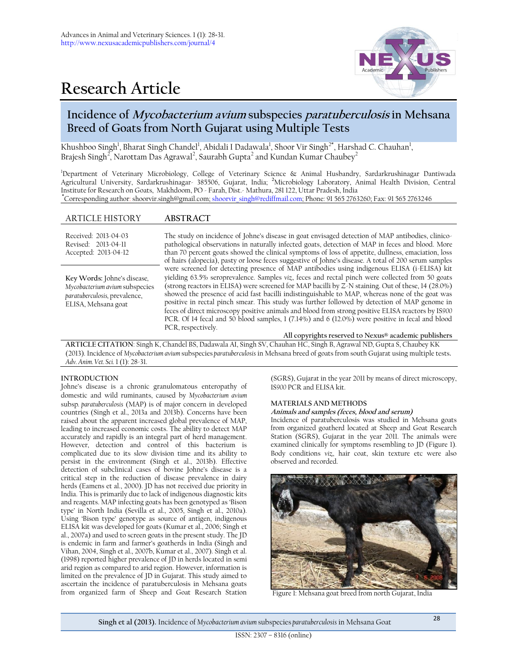

# **Research Article**

## **Incidence of Mycobacterium avium subspecies paratuberculosis in Mehsana Breed of Goats from North Gujarat using Multiple Tests**

Khushboo Singh<sup>1</sup>, Bharat Singh Chandel<sup>1</sup>, Abidali I Dadawala<sup>1</sup>, Shoor Vir Singh<sup>2\*</sup>, Harshad C. Chauhan<sup>1</sup>, Brajesh Singh<sup>2</sup>, Narottam Das Agrawal<sup>2</sup>, Saurabh Gupta<sup>2</sup> and Kundan Kumar Chaubey<sup>2</sup>

<sup>1</sup>Department of Veterinary Microbiology, College of Veterinary Science & Animal Husbandry, Sardarkrushinagar Dantiwada Agricultural University, Sardarkrushinagar- 385506, Gujarat, India; **<sup>2</sup>**Microbiology Laboratory, Animal Health Division, Central Institute for Research on Goats, Makhdoom, PO - Farah, Dist.- Mathura, 281 122, Uttar Pradesh, India **\***Corresponding author: shoorvir.singh@gmail.com[; shoorvir\\_singh@rediffmail.com;](mailto:shoorvir_singh@rediffmail.com) Phone: 91 565 2763260; Fax: 91 565 2763246

### ARTICLE HISTORY **ABSTRACT**

| Received: 2013-04-03<br>Revised: 2013-04-11<br>Accepted: 2013-04-12                                                   | The study on incidence of Johne's disease in goat envisaged detection of MAP antibodies, clinico-<br>pathological observations in naturally infected goats, detection of MAP in feces and blood. More<br>than 70 percent goats showed the clinical symptoms of loss of appetite, dullness, emaciation, loss<br>of hairs (alopecia), pasty or loose feces suggestive of Johne's disease. A total of 200 serum samples                                                                                                                                                                                                                                                                                                                                                                             |
|-----------------------------------------------------------------------------------------------------------------------|--------------------------------------------------------------------------------------------------------------------------------------------------------------------------------------------------------------------------------------------------------------------------------------------------------------------------------------------------------------------------------------------------------------------------------------------------------------------------------------------------------------------------------------------------------------------------------------------------------------------------------------------------------------------------------------------------------------------------------------------------------------------------------------------------|
| Key Words: Johne's disease,<br>Mycobacterium avium subspecies<br>paratuberculosis, prevalence,<br>ELISA, Mehsana goat | were screened for detecting presence of MAP antibodies using indigenous ELISA (i-ELISA) kit<br>yielding 63.5% seroprevalence. Samples viz, feces and rectal pinch were collected from 50 goats<br>(strong reactors in ELISA) were screened for MAP bacilli by Z-N staining. Out of these, 14 (28.0%)<br>showed the presence of acid fast bacilli indistinguishable to MAP, whereas none of the goat was<br>positive in rectal pinch smear. This study was further followed by detection of MAP genome in<br>feces of direct microscopy positive animals and blood from strong positive ELISA reactors by IS900<br>PCR. Of 14 fecal and 50 blood samples, 1 (7.14%) and 6 (12.0%) were positive in fecal and blood<br>PCR, respectively.<br>All copyrights reserved to Nexus® academic publishers |

**ARTICLE CITATION**: Singh K, Chandel BS, Dadawala AI, Singh SV, Chauhan HC, Singh B, Agrawal ND, Gupta S, Chaubey KK (2013). Incidence of *Mycobacterium avium* subspecies *paratuberculosis* in Mehsana breed of goats from south Gujarat using multiple tests**.** *Adv. Anim. Vet. Sci.* 1 (1): 28-31.

#### **INTRODUCTION**

Johne's disease is a chronic granulomatous enteropathy of domestic and wild ruminants, caused by *Mycobacterium avium*  subsp*. paratuberculosis* (MAP) is of major concern in developed countries (Singh et al., 2013a and 2013b). Concerns have been raised about the apparent increased global prevalence of MAP, leading to increased economic costs. The ability to detect MAP accurately and rapidly is an integral part of herd management. However, detection and control of this bacterium is complicated due to its slow division time and its ability to persist in the environment (Singh et al., 2013b). Effective detection of subclinical cases of bovine Johne's disease is a critical step in the reduction of disease prevalence in dairy herds (Eamens et al., 2000). JD has not received due priority in India. This is primarily due to lack of indigenous diagnostic kits and reagents. MAP infecting goats has been genotyped as 'Bison type' in North India (Sevilla et al., 2005, Singh et al., 2010a). Using 'Bison type' genotype as source of antigen, indigenous ELISA kit was developed for goats (Kumar et al., 2006; Singh et al., 2007a) and used to screen goats in the present study. The JD is endemic in farm and farmer's goatherds in India (Singh and Vihan, 2004, Singh et al., 2007b, Kumar et al., 2007). Singh et al. (1998) reported higher prevalence of JD in herds located in semi arid region as compared to arid region. However, information is limited on the prevalence of JD in Gujarat. This study aimed to ascertain the incidence of paratuberculosis in Mehsana goats from organized farm of Sheep and Goat Research Station

(SGRS), Gujarat in the year 2011 by means of direct microscopy, IS*900* PCR and ELISA kit.

#### **MATERIALS AND METHODS**

#### **Animals and samples (feces, blood and serum)**

Incidence of paratuberculosis was studied in Mehsana goats from organized goatherd located at Sheep and Goat Research Station (SGRS), Gujarat in the year 2011. The animals were examined clinically for symptoms resembling to JD (Figure 1). Body conditions *viz.,* hair coat, skin texture etc were also observed and recorded.



Figure 1: Mehsana goat breed from north Gujarat, India

**Singh et al (2013).** Incidence of *Mycobacterium avium* subspecies *paratuberculosis* in Mehsana Goat <sup>28</sup>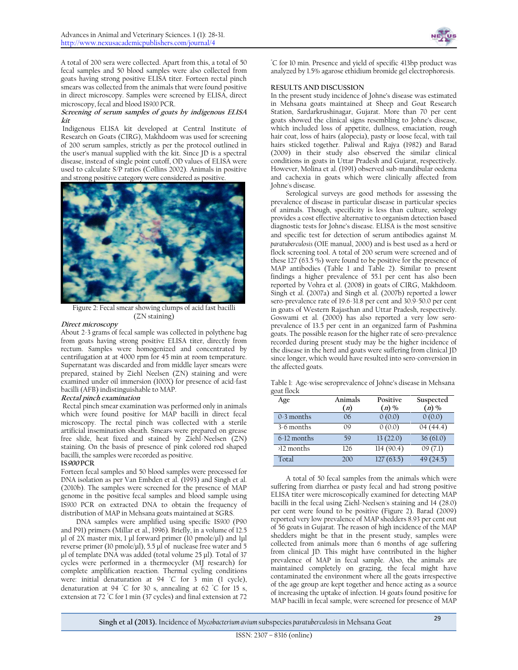

A total of 200 sera were collected. Apart from this, a total of 50 fecal samples and 50 blood samples were also collected from goats having strong positive ELISA titer. Forteen rectal pinch smears was collected from the animals that were found positive in direct microscopy. Samples were screened by ELISA, direct microscopy, fecal and blood IS*900* PCR.

#### **Screening of serum samples of goats by indigenous ELISA kit**

Indigenous ELISA kit developed at Central Institute of Research on Goats (CIRG), Makhdoom was used for screening of 200 serum samples, strictly as per the protocol outlined in the user's manual supplied with the kit. Since JD is a spectral disease, instead of single point cutoff, OD values of ELISA were used to calculate S/P ratios (Collins 2002). Animals in positive and strong positive category were considered as positive.



Figure 2: Fecal smear showing clumps of acid fast bacilli (ZN staining)

#### **Direct microscopy**

About 2-3 grams of fecal sample was collected in polythene bag from goats having strong positive ELISA titer, directly from rectum. Samples were homogenized and concentrated by centrifugation at at 4000 rpm for 45 min at room temperature. Supernatant was discarded and from middle layer smears were prepared, stained by Ziehl Neelsen (ZN) staining and were examined under oil immersion (100X) for presence of acid-fast bacilli (AFB) indistinguishable to MAP.

#### **Rectal pinch examination**

Rectal pinch smear examination was performed only in animals which were found positive for MAP bacilli in direct fecal microscopy. The rectal pinch was collected with a sterile artificial insemination sheath. Smears were prepared on grease free slide, heat fixed and stained by Ziehl-Neelsen (ZN) staining. On the basis of presence of pink colored rod shaped bacilli, the samples were recorded as positive.

#### **IS<sup>900</sup> PCR**

Forteen fecal samples and 50 blood samples were processed for DNA isolation as per Van Embden et al. (1993) and Singh et al. (2010b). The samples were screened for the presence of MAP genome in the positive fecal samples and blood sample using IS*900* PCR on extracted DNA to obtain the frequency of distribution of MAP in Mehsana goats maintained at SGRS.

DNA samples were amplified using specific IS*900* (P90 and P91) primers (Millar et al., 1996). Briefly, in a volume of 12.5 μl of 2X master mix, 1 μl forward primer (10 pmole/μl) and 1μl reverse primer (10 pmole/μl), 5.5 μl of nuclease free water and 5 μl of template DNA was added (total volume 25 μl). Total of 37 cycles were performed in a thermocycler (MJ research) for complete amplification reaction. Thermal cycling conditions were: initial denaturation at 94 ℃ for 3 min (1 cycle), denaturation at 94 ◦C for 30 s, annealing at 62 ◦C for 15 s, extension at 72 ℃ for 1 min (37 cycles) and final extension at 72

◦C for 10 min. Presence and yield of specific 413bp product was analyzed by 1.5% agarose ethidium bromide gel electrophoresis.

#### **RESULTS AND DISCUSSION**

In the present study incidence of Johne's disease was estimated in Mehsana goats maintained at Sheep and Goat Research Station, Sardarkrushinagar, Gujarat. More than 70 per cent goats showed the clinical signs resembling to Johne's disease, which included loss of appetite, dullness, emaciation, rough hair coat, loss of hairs (alopecia), pasty or loose fecal, with tail hairs sticked together. Paliwal and Rajya (1982) and Barad (2009) in their study also observed the similar clinical conditions in goats in Uttar Pradesh and Gujarat, respectively. However, Molina et al. (1991) observed sub-mandibular oedema and cachexia in goats which were clinically affected from Johne's disease.

Serological surveys are good methods for assessing the prevalence of disease in particular disease in particular species of animals. Though, specificity is less than culture, serology provides a cost effective alternative to organism detection based diagnostic tests for Johne's disease. ELISA is the most sensitive and specific test for detection of serum antibodies against *M. paratuberculosis* (OIE manual, 2000) and is best used as a herd or flock screening tool. A total of 200 serum were screened and of these 127 (63.5 %) were found to be positive for the presence of MAP antibodies (Table 1 and Table 2). Similar to present findings a higher prevalence of 55.1 per cent has also been reported by Vohra et al. (2008) in goats of CIRG, Makhdoom. Singh et al. (2007a) and Singh et al. (2007b) reported a lower sero-prevalence rate of 19.6-31.8 per cent and 30.9-50.0 per cent in goats of Western Rajasthan and Uttar Pradesh, respectively. Goswami et al. (2000) has also reported a very low seroprevalence of 13.5 per cent in an organized farm of Pashmina goats. The possible reason for the higher rate of sero-prevalence recorded during present study may be the higher incidence of the disease in the herd and goats were suffering from clinical JD since longer, which would have resulted into sero-conversion in the affected goats.

Table 1: Age-wise seroprevalence of Johne's disease in Mehsana goat flock

| Age          | Animals<br>(n) | Positive<br>$(n)$ % | Suspected<br>$(n)$ % |
|--------------|----------------|---------------------|----------------------|
| $0-3$ months | 06             | 0(0.0)              | 0(0.0)               |
| 3-6 months   | 09             | 0(0.0)              | 04(44.4)             |
| 6-12 months  | 59             | 13(22.0)            | 36(61.0)             |
| $>12$ months | 126            | 114(90.4)           | 09(7.1)              |
| Total        | 200            | 127(63.5)           | 49 (24.5)            |

A total of 50 fecal samples from the animals which were suffering from diarrhea or pasty fecal and had strong positive ELISA titer were microscopically examined for detecting MAP bacilli in the fecal using Ziehl-Neelsen's staining and 14 (28.0) per cent were found to be positive (Figure 2). Barad (2009) reported very low prevalence of MAP shedders 8.93 per cent out of 56 goats in Gujarat. The reason of high incidence of the MAP shedders might be that in the present study, samples were collected from animals more than 6 months of age suffering from clinical JD. This might have contributed in the higher prevalence of MAP in fecal sample. Also, the animals are maintained completely on grazing, the fecal might have contaminated the environment where all the goats irrespective of the age group are kept together and hence acting as a source of increasing the uptake of infection. 14 goats found positive for MAP bacilli in fecal sample, were screened for presence of MAP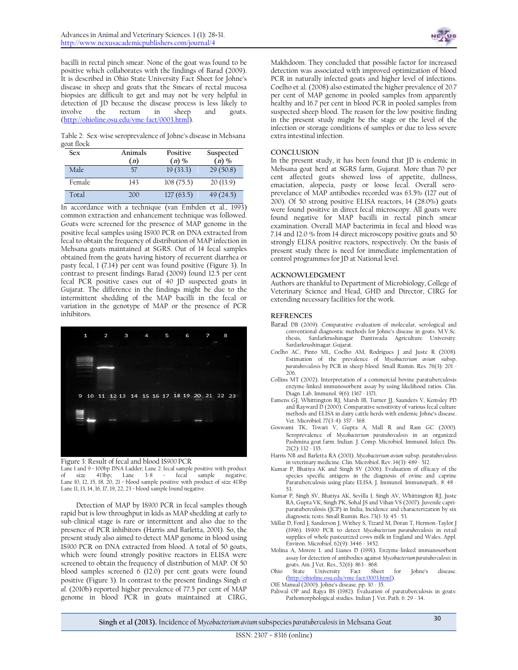bacilli in rectal pinch smear. None of the goat was found to be positive which collaborates with the findings of Barad (2009). It is described in Ohio State University Fact Sheet for Johne's disease in sheep and goats that the Smears of rectal mucosa biopsies are difficult to get and may not be very helpful in detection of JD because the disease process is less likely to involve the rectum in sheep and goats. [\(http://ohioline.osu.edu/vme-fact/0003.html\)](http://ohioline.osu.edu/vme-fact/0003.html).

Table 2: Sex-wise seroprevalence of Johne's disease in Mehsana goat flock

| Sex    | Animals<br>(n) | Positive<br>$(n)$ % | Suspected<br>$(n)$ % |
|--------|----------------|---------------------|----------------------|
| Male   | 57             | 19(33.3)            | 29(50.8)             |
| Female | 143            | 108(75.5)           | 20(13.9)             |
| Total  | 200            | 127(63.5)           | 49(24.5)             |

In accordance with a technique (van Embden et al., 1993) common extraction and enhancement technique was followed. Goats were screened for the presence of MAP genome in the positive fecal samples using IS*900* PCR on DNA extracted from fecal to obtain the frequency of distribution of MAP infection in Mehsana goats maintained at SGRS. Out of 14 fecal samples obtained from the goats having history of recurrent diarrhea or pasty fecal, 1 (7.14) per cent was found positive (Figure 3). In contrast to present findings Barad (2009) found 12.5 per cent fecal PCR positive cases out of 40 JD suspected goats in Gujarat. The difference in the findings might be due to the intermittent shedding of the MAP bacilli in the fecal or variation in the genotype of MAP or the presence of PCR inhibitors.



Figure 3: Result of fecal and blood IS*900* PCR Lane 1 and 9 = 100bp DNA Ladder; Lane 2: fecal sample positive with product of size 413bp; Lane 3-8 = fecal sample negative; of size  $413$ bp; Lane  $3-8$  = fecal sample Lane 10, 12, 15, 18, 20, 21 = blood sample positive with product of size 413bp Lane 11, 13, 14, 16, 17, 19, 22, 23 = blood sample found negative

Detection of MAP by IS*900* PCR in fecal samples though rapid but is low throughput in kids as MAP shedding at early to sub-clinical stage is rare or intermittent and also due to the presence of PCR inhibitors (Harris and Barletta, 2001). So, the present study also aimed to detect MAP genome in blood using IS*900* PCR on DNA extracted from blood. A total of 50 goats, which were found strongly positive reactors in ELISA were screened to obtain the frequency of distribution of MAP. Of 50 blood samples screened 6 (12.0) per cent goats were found positive (Figure 3). In contrast to the present findings Singh *et al.* (2010b) reported higher prevalence of 77.5 per cent of MAP genome in blood PCR in goats maintained at CIRG,



Makhdoom. They concluded that possible factor for increased detection was associated with improved optimization of blood PCR in naturally infected goats and higher level of infections. Coelho et al. (2008) also estimated the higher prevalence of 20.7 per cent of MAP genome in pooled samples from apparently healthy and 16.7 per cent in blood PCR in pooled samples from suspected sheep blood. The reason for the low positive finding in the present study might be the stage or the level of the infection or storage conditions of samples or due to less severe extra intestinal infection.

#### **CONCLUSION**

In the present study, it has been found that JD is endemic in Mehsana goat herd at SGRS farm, Gujarat. More than 70 per cent affected goats showed loss of appetite, dullness, emaciation, alopecia, pasty or loose fecal. Overall seroprevelance of MAP antibodies recorded was 63.5% (127 out of 200). Of 50 strong positive ELISA reactors, 14 (28.0%) goats were found positive in direct fecal microscopy. All goats were found negative for MAP bacilli in rectal pinch smear examination. Overall MAP bacterimia in fecal and blood was 7.14 and 12.0 % from 14 direct microscopy positive goats and 50 strongly ELISA positive reactors, respectively. On the basis of present study there is need for immediate implementation of control programmes for JD at National level.

#### **ACKNOWLEDGMENT**

Authors are thankful to Department of Microbiology, College of Veterinary Science and Head, GHD and Director, CIRG for extending necessary facilities for the work.

#### **REFRENCES**

- Barad DB (2009). Comparative evaluation of molecular, serological and conventional diagnostic methods for Johne's disease in goats. M.V.Sc. thesis, Sardarkrushinagar Dantiwada Agriculture University. Sardarkrushinagar. Gujarat.
- Coelho AC, Pinto ML, Coelho AM, Rodrigues J and Juste R (2008). Estimation of the prevalence of *Mycobacterium avium* subsp. *paratuberculosis* by PCR in sheep blood. Small Rumin. Res. 76(3): 201 - 206.
- Collins MT (2002). Interpretation of a commercial bovine paratuberculosis enzyme-linked immunosorbent assay by using likelihood ratios. [Clin.](http://www.ncbi.nlm.nih.gov/pmc/journals/84/#cdli) Diagn. Lab. [Immunol.](http://www.ncbi.nlm.nih.gov/pmc/journals/84/#cdli) 9(6): 1367 - 1371.
- Eamens GJ, Whittington RJ, Marsh IB, Turner JJ, Saunders V, Kemsley PD and Rayward D (2000). Comparative sensitivity of various fecal culture methods and ELISA in dairy cattle herds with endemic Johne's disease. Vet. Microbiol*.* 77(3-4): 357 - 368.
- Goswami TK, Tiwari V, Gupta A, Mall R and Ram GC (2000). Seroprevalence of *Mycobacterium paratuberculosis* in an organized Pashmina goat farm. Indian. J. Comp. Microbiol. Immunol. Infect. Dis. 21(2): 132 - 135.
- Harris NB and Barletta RA (2001). *Mycobacterium avium* subsp. *paratuberculosis* in veterinary medicine. Clin. Microbiol. Rev. 14(3): 489 - 512.
- Kumar P, Bhatiya AK and Singh SV (2006). Evaluation of efficacy of the species specific antigens in the diagnosis of ovine and caprine Paratuberculosis using plate ELISA. J. Immunol. Immunopath.. 8: 48 - 53.
- Kumar P, Singh SV, Bhatiya AK, Sevilla I, Singh AV, Whittington RJ, Juste RA, Gupta VK, Singh PK, Sohal JS and Vihan VS (2007). Juvenile capriparatuberculosis (JCP) in India; Incidence and characterization by six diagnostic tests. Small Rumin. Res. 73(1-3): 45 - 53.
- Millar D, Ford J, Sanderson J, Withey S, Tizard M, Doran T, Hermon-Taylor J (1996). IS900 PCR to detect *Mycobacterium paratuberculosis* in retail supplies of whole pasteurized cows milk in England and Wales. Appl. Environ. Microbiol. 62(9): 3446 - 3452.
- Molina A, Morere L and Lianes D (1991). Enzyme-linked immunosorbent assay for detection of antibodies against *Mycobacterium paratuberculosis* in
- goats. Am. J Vet. Res., 52(6): 863 868.<br>State University Fact Sheet Ohio State University Fact Sheet for Johne's disease. [\(http://ohioline.osu.edu/vme-fact/0003.html\)](http://ohioline.osu.edu/vme-fact/0003.html).

OIE Manual (2000). Johne's disease. pp. 30 - 35. Paliwal OP and Rajya BS (1982). Evaluation of paratuberculosis in goats: Pathomorphological studies. Indian J. Vet. Path. 6: 29 - 34.

**Singh et al (2013).** Incidence of *Mycobacterium avium* subspecies *paratuberculosis* in Mehsana Goat <sup>30</sup>